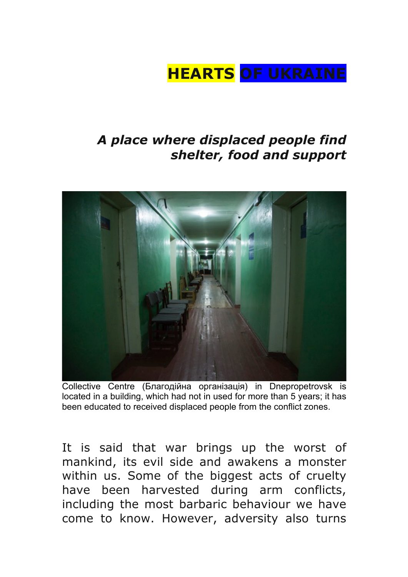## **HEARTS OF UKRAINE**

## *A place where displaced people find shelter, food and support*



Collective Centre (Благодійна організація) in Dnepropetrovsk is located in a building, which had not in used for more than 5 years; it has been educated to received displaced people from the conflict zones.

It is said that war brings up the worst of mankind, its evil side and awakens a monster within us. Some of the biggest acts of cruelty have been harvested during arm conflicts, including the most barbaric behaviour we have come to know. However, adversity also turns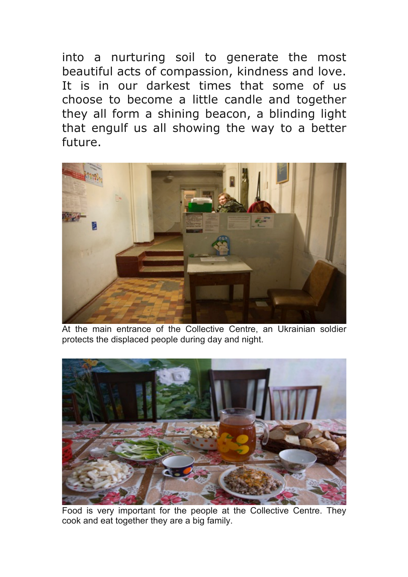into a nurturing soil to generate the most beautiful acts of compassion, kindness and love. It is in our darkest times that some of us choose to become a little candle and together they all form a shining beacon, a blinding light that engulf us all showing the way to a better future.



At the main entrance of the Collective Centre, an Ukrainian soldier protects the displaced people during day and night.



Food is very important for the people at the Collective Centre. They cook and eat together they are a big family.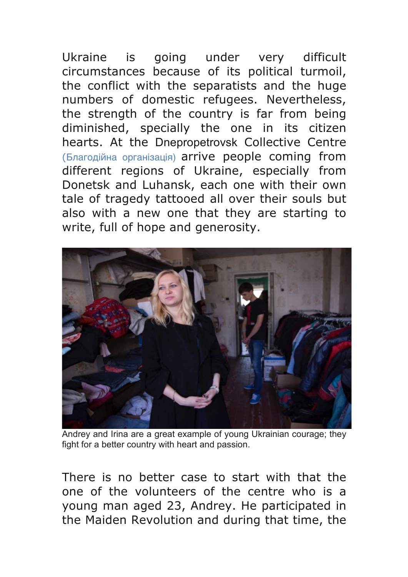Ukraine is going under very difficult circumstances because of its political turmoil, the conflict with the separatists and the huge numbers of domestic refugees. Nevertheless, the strength of the country is far from being diminished, specially the one in its citizen hearts. At the Dnepropetrovsk Collective Centre (Благодійна організація) arrive people coming from different regions of Ukraine, especially from Donetsk and Luhansk, each one with their own tale of tragedy tattooed all over their souls but also with a new one that they are starting to write, full of hope and generosity.



Andrey and Irina are a great example of young Ukrainian courage; they fight for a better country with heart and passion.

There is no better case to start with that the one of the volunteers of the centre who is a young man aged 23, Andrey. He participated in the Maiden Revolution and during that time, the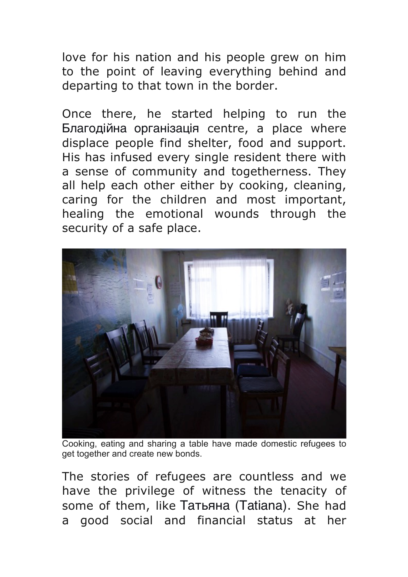love for his nation and his people grew on him to the point of leaving everything behind and departing to that town in the border.

Once there, he started helping to run the Благодійна організація centre, a place where displace people find shelter, food and support. His has infused every single resident there with a sense of community and togetherness. They all help each other either by cooking, cleaning, caring for the children and most important, healing the emotional wounds through the security of a safe place.



Cooking, eating and sharing a table have made domestic refugees to get together and create new bonds.

The stories of refugees are countless and we have the privilege of witness the tenacity of some of them, like Татьяна (Tatiana). She had a good social and financial status at her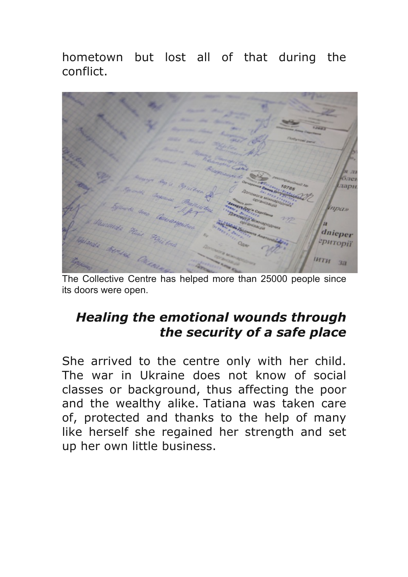hometown but lost all of that during the conflict.



The Collective Centre has helped more than 25000 people since its doors were open.

## *Healing the emotional wounds through the security of a safe place*

She arrived to the centre only with her child. The war in Ukraine does not know of social classes or background, thus affecting the poor and the wealthy alike. Tatiana was taken care of, protected and thanks to the help of many like herself she regained her strength and set up her own little business.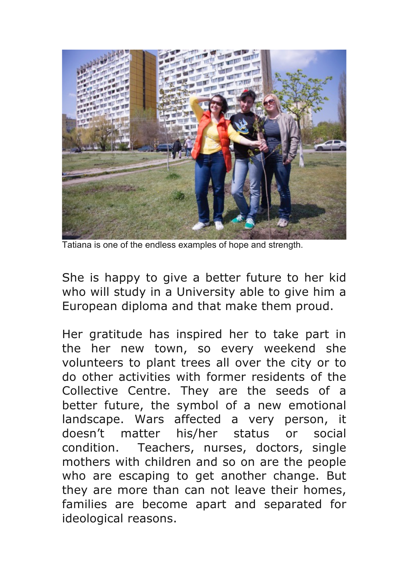

Tatiana is one of the endless examples of hope and strength.

She is happy to give a better future to her kid who will study in a University able to give him a European diploma and that make them proud.

Her gratitude has inspired her to take part in the her new town, so every weekend she volunteers to plant trees all over the city or to do other activities with former residents of the Collective Centre. They are the seeds of a better future, the symbol of a new emotional landscape. Wars affected a very person, it doesn't matter his/her status or social condition. Teachers, nurses, doctors, single mothers with children and so on are the people who are escaping to get another change. But they are more than can not leave their homes, families are become apart and separated for ideological reasons.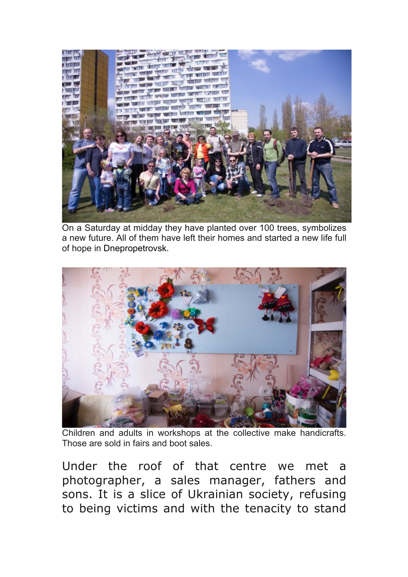

On a Saturday at midday they have planted over 100 trees, symbolizes a new future. All of them have left their homes and started a new life full of hope in Dnepropetrovsk.



Children and adults in workshops at the collective make handicrafts. Those are sold in fairs and boot sales.

Under the roof of that centre we met a photographer, a sales manager, fathers and sons. It is a slice of Ukrainian society, refusing to being victims and with the tenacity to stand